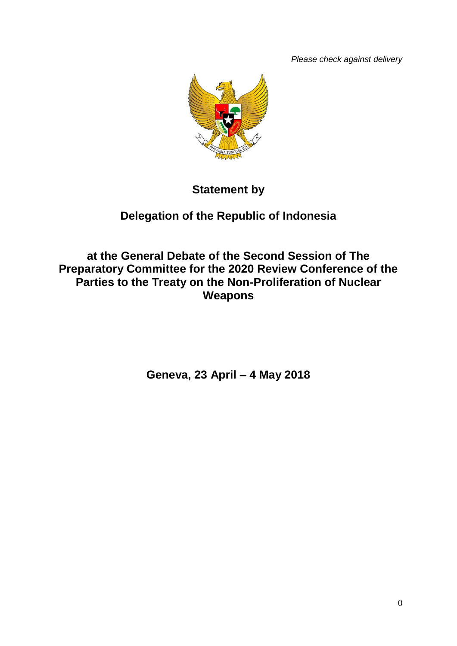*Please check against delivery*



# **Statement by**

# **Delegation of the Republic of Indonesia**

**at the General Debate of the Second Session of The Preparatory Committee for the 2020 Review Conference of the Parties to the Treaty on the Non-Proliferation of Nuclear Weapons**

**Geneva, 23 April – 4 May 2018**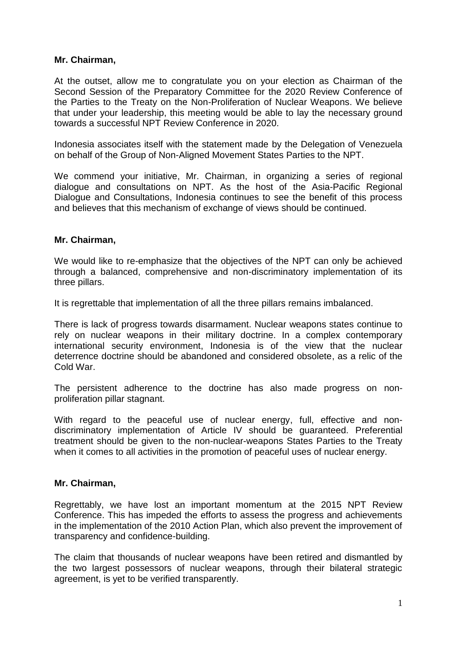#### **Mr. Chairman,**

At the outset, allow me to congratulate you on your election as Chairman of the Second Session of the Preparatory Committee for the 2020 Review Conference of the Parties to the Treaty on the Non-Proliferation of Nuclear Weapons. We believe that under your leadership, this meeting would be able to lay the necessary ground towards a successful NPT Review Conference in 2020.

Indonesia associates itself with the statement made by the Delegation of Venezuela on behalf of the Group of Non-Aligned Movement States Parties to the NPT.

We commend your initiative, Mr. Chairman, in organizing a series of regional dialogue and consultations on NPT. As the host of the Asia-Pacific Regional Dialogue and Consultations, Indonesia continues to see the benefit of this process and believes that this mechanism of exchange of views should be continued.

#### **Mr. Chairman,**

We would like to re-emphasize that the objectives of the NPT can only be achieved through a balanced, comprehensive and non-discriminatory implementation of its three pillars.

It is regrettable that implementation of all the three pillars remains imbalanced.

There is lack of progress towards disarmament. Nuclear weapons states continue to rely on nuclear weapons in their military doctrine. In a complex contemporary international security environment, Indonesia is of the view that the nuclear deterrence doctrine should be abandoned and considered obsolete, as a relic of the Cold War.

The persistent adherence to the doctrine has also made progress on nonproliferation pillar stagnant.

With regard to the peaceful use of nuclear energy, full, effective and nondiscriminatory implementation of Article IV should be guaranteed. Preferential treatment should be given to the non-nuclear-weapons States Parties to the Treaty when it comes to all activities in the promotion of peaceful uses of nuclear energy.

## **Mr. Chairman,**

Regrettably, we have lost an important momentum at the 2015 NPT Review Conference. This has impeded the efforts to assess the progress and achievements in the implementation of the 2010 Action Plan, which also prevent the improvement of transparency and confidence-building.

The claim that thousands of nuclear weapons have been retired and dismantled by the two largest possessors of nuclear weapons, through their bilateral strategic agreement, is yet to be verified transparently.